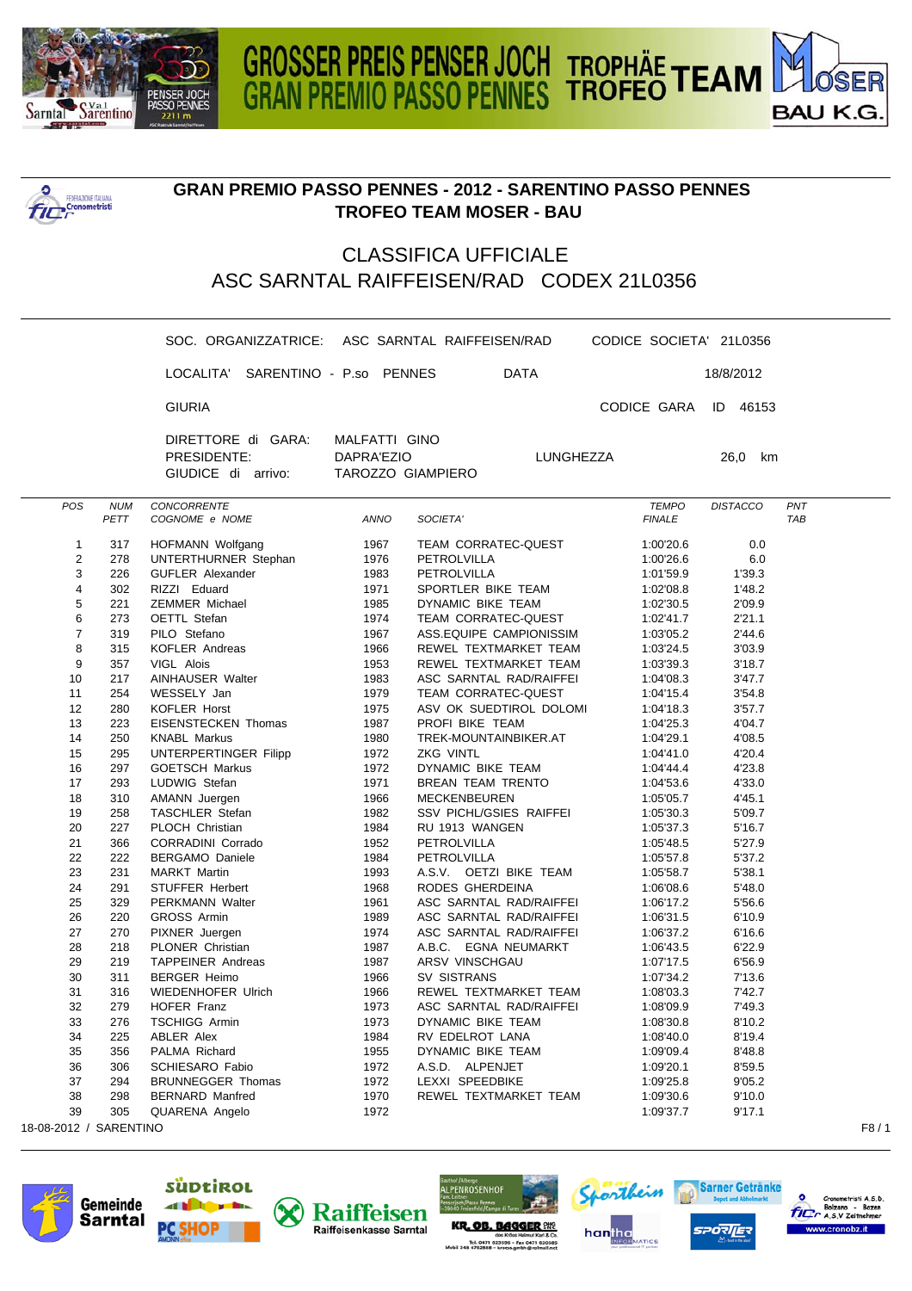